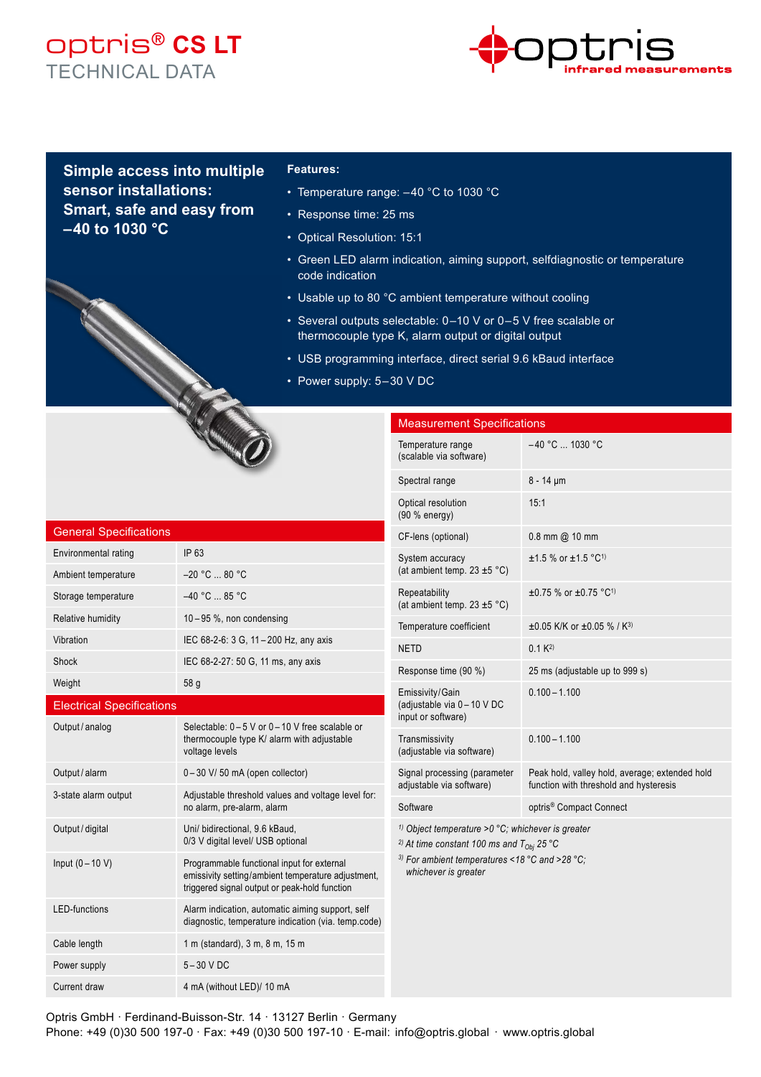## optris® **CS LT** TECHNICAL DATA



**Simple access into multiple sensor installations: Smart, safe and easy from – 40 to 1030 °C**

## **Features:**

- Temperature range: -40 °C to 1030 °C
- Response time: 25 ms
- Optical Resolution: 15:1
- Green LED alarm indication, aiming support, selfdiagnostic or temperature code indication
- Usable up to 80 °C ambient temperature without cooling
- Several outputs selectable: 0 –10 V or 0 – 5 V free scalable or thermocouple type K, alarm output or digital output
- USB programming interface, direct serial 9.6 kBaud interface
- Power supply: 5-30 V DC

| <b>General Specifications</b>    |                                                                                                                                                   |  |
|----------------------------------|---------------------------------------------------------------------------------------------------------------------------------------------------|--|
| Environmental rating             | IP 63                                                                                                                                             |  |
| Ambient temperature              | $-20 °C  80 °C$                                                                                                                                   |  |
| Storage temperature              | $-40 °C$ 85 °C                                                                                                                                    |  |
| Relative humidity                | $10-95$ %, non condensing                                                                                                                         |  |
| Vibration                        | IEC 68-2-6: 3 G, 11 - 200 Hz, any axis                                                                                                            |  |
| Shock                            | IEC 68-2-27: 50 G, 11 ms, any axis                                                                                                                |  |
| Weight                           | 58 g                                                                                                                                              |  |
| <b>Electrical Specifications</b> |                                                                                                                                                   |  |
| Output / analog                  | Selectable: 0-5 V or 0-10 V free scalable or<br>thermocouple type K/ alarm with adjustable<br>voltage levels                                      |  |
| Output / alarm                   | 0-30 V/50 mA (open collector)                                                                                                                     |  |
| 3-state alarm output             | Adjustable threshold values and voltage level for:<br>no alarm, pre-alarm, alarm                                                                  |  |
| Output / digital                 | Uni/ bidirectional, 9.6 kBaud,<br>0/3 V digital level/ USB optional                                                                               |  |
| Input $(0 - 10 V)$               | Programmable functional input for external<br>emissivity setting/ambient temperature adjustment,<br>triggered signal output or peak-hold function |  |
| <b>LED-functions</b>             | Alarm indication, automatic aiming support, self<br>diagnostic, temperature indication (via. temp.code)                                           |  |
| Cable length                     | 1 m (standard), 3 m, 8 m, 15 m                                                                                                                    |  |
| Power supply                     | $5-30$ V DC                                                                                                                                       |  |
| Current draw                     | 4 mA (without LED)/ 10 mA                                                                                                                         |  |

| <b>Measurement Specifications</b>                                                                                                                                                                                  |                                                                                          |
|--------------------------------------------------------------------------------------------------------------------------------------------------------------------------------------------------------------------|------------------------------------------------------------------------------------------|
| Temperature range<br>(scalable via software)                                                                                                                                                                       | $-40$ °C $$ 1030 °C                                                                      |
| Spectral range                                                                                                                                                                                                     | $8 - 14 \mu m$                                                                           |
| Optical resolution<br>(90 % energy)                                                                                                                                                                                | 15:1                                                                                     |
| CF-lens (optional)                                                                                                                                                                                                 | $0.8$ mm $@$ 10 mm                                                                       |
| System accuracy<br>(at ambient temp. $23 \pm 5$ °C)                                                                                                                                                                | $±1.5$ % or $±1.5$ °C <sup>1)</sup>                                                      |
| Repeatability<br>(at ambient temp. $23 \pm 5$ °C)                                                                                                                                                                  | $\pm 0.75$ % or $\pm 0.75$ °C <sup>1)</sup>                                              |
| Temperature coefficient                                                                                                                                                                                            | $\pm 0.05$ K/K or $\pm 0.05$ % / K <sup>3)</sup>                                         |
| <b>NETD</b>                                                                                                                                                                                                        | $0.1 K^{2}$                                                                              |
| Response time (90 %)                                                                                                                                                                                               | 25 ms (adjustable up to 999 s)                                                           |
| Emissivity/Gain<br>(adjustable via 0 - 10 V DC<br>input or software)                                                                                                                                               | $0.100 - 1.100$                                                                          |
| Transmissivity<br>(adjustable via software)                                                                                                                                                                        | $0.100 - 1.100$                                                                          |
| Signal processing (parameter<br>adjustable via software)                                                                                                                                                           | Peak hold, valley hold, average; extended hold<br>function with threshold and hysteresis |
| Software                                                                                                                                                                                                           | optris <sup>®</sup> Compact Connect                                                      |
| <sup>1)</sup> Object temperature > $0 °C$ ; whichever is greater<br><sup>2)</sup> At time constant 100 ms and $T_{Obj}$ 25 °C<br><sup>3)</sup> For ambient temperatures <18 °C and >28 °C;<br>whichever is greater |                                                                                          |

Optris GmbH · Ferdinand-Buisson-Str. 14 · 13127 Berlin · Germany Phone: +49 (0)30 500 197-0 · Fax: +49 (0)30 500 197-10 · E-mail: info@optris.global · www.optris.global